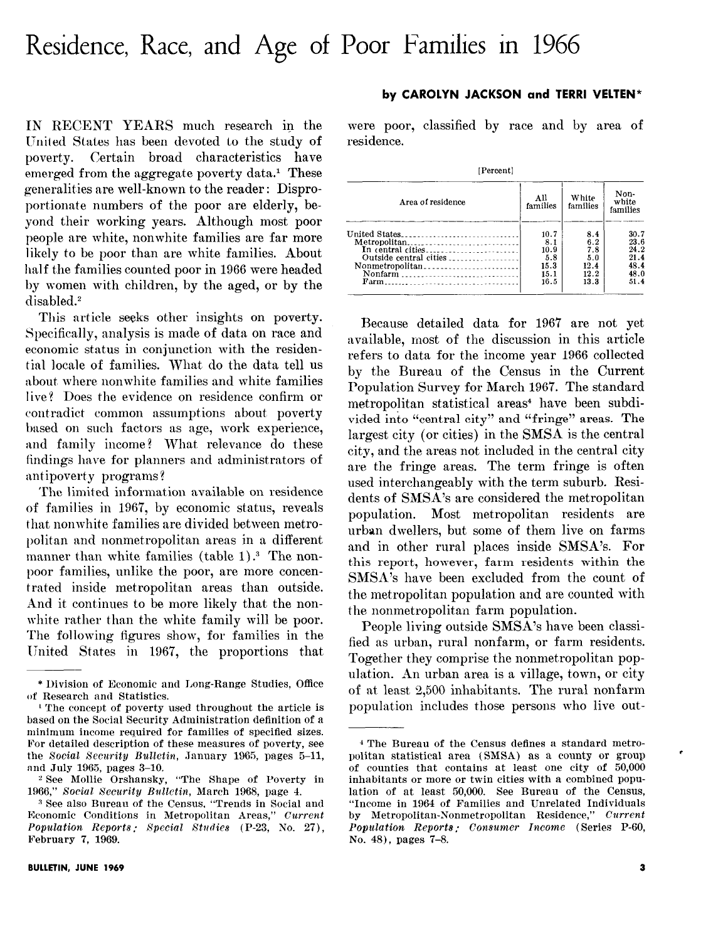# Residence, Race, and Age of Poor Families in 1966

IN RECENT YEARS much research in the United States has been devoted to the study of poverty. Certain broad characteristics have emerged from the aggregate poverty data.<sup>1</sup> These generalities are well-known to the reader : Disproportionate numbers of the poor are elderly, beyond their working years. Although most poor people are white, nonwhite families are far more likely to be poor than are white families. About half the families counted poor in 1966 were headed by women with children, by the aged, or by the disabled.'

This article seeks other insights on poverty. Specifically, analysis is made of data on race and economic status in conjunction with the residential locale of families. What do the data tell us about, where nonwhite families and white families live? Does the evidence on residence confirm or contradict common assumptions about poverty based on such factors as age, work experience, and family income? What relevance do these findings have for planners and administrators of antipoverty programs?

The limited information available on residence of families in 1967, by economic status, reveals that nonwhite families are divided between metroljolitan and nonmetropolitan areas in a different manner than white families (table 1).<sup>3</sup> The nonpoor families, unlike the poor, are more concentrated inside metropolitan areas than outside. And it continues to be more likely that the nonwhite rather than the white family will be poor. The following figures show, for families in the United States in 1967, the proportions that

## BULLETIN, JUNE 1969

-

#### by CAROLYN JACKSON and TERRI VELTEN\*

were poor, classified by race and by area of residence.

| [Percent]                                                                       |                                                    |                                                  |                                                      |  |  |  |  |  |  |
|---------------------------------------------------------------------------------|----------------------------------------------------|--------------------------------------------------|------------------------------------------------------|--|--|--|--|--|--|
| Area of residence                                                               | All<br>families                                    | White<br>families                                | Non-<br>white<br>families                            |  |  |  |  |  |  |
| United States<br>In central cities<br>Outside central cities<br>Nonfarm<br>Farm | 10.7<br>8.1<br>10.9<br>5.8<br>15.3<br>15.1<br>16.5 | 8.4<br>6.2<br>7.8<br>5.0<br>12.4<br>12.2<br>13.3 | 30.7<br>23.6<br>24.2<br>21.4<br>48.4<br>48.0<br>51.4 |  |  |  |  |  |  |

Because detailed data for 1967 are not yet available, most of the discussion in this article refers to data for the income year 1966 collected by the Bureau of the Census in the Current Population Survey for March 1967. The standard metropolitan statistical areas<sup>4</sup> have been subdivided into "central city" and "fringe" areas. The largest city (or cities) in the SMSA is the central city, and the areas not included in the central city are the fringe areas. The term fringe is often used interchangeably with the term suburb. Residents of SMSA's are considered the metropolitan population. Most metropolitan residents are urban dwellers, but some of them live on farms and in other rural places inside SMSA's. For this report, however, farm residents within the SMSh's have been excluded from the count of the metropolitan population and are counted with the nonmetropolitan farm population.

People living outside SMSA's have been classified as urban, rural nonfarm, or farm residents. Together they comprise the nonmetropolitan population. An urban area is a village, town, or city of at least 2,500 inhabitants. The rural nonfarm population includes those persons who live out-

<sup>\*</sup> Ijivision of Economic and Long-Range Studies, Office of Research and Statistics.

l'l?he concept of poverty used throughout the article is based on the Social Security Administration definition of a minimum income required for families of specified sizes. For detailed description of these measures of poverty, see the Social Security Bulletin, January 1965, pages 5-11, and July 1965, pages 3-10.

<sup>2</sup> See Mollie Orshansky, "The Shape of Poverty in 1966," Social Security Bulletin, March 1968, page 4.

s See also Bureau of the Census, "Trends in Social and Economic Conditions in Metropolitan Areas,"  $\emph{Current}$ Population Report8 : Special Studies (P-23, So. 27), February 7, 1969.

<sup>&</sup>lt;sup>4</sup> The Bureau of the Census defines a standard metropolitan statistical area (SMSA) as a county or group of counties that contains at least one city of 50,000 inhabitants or more or twin cities with a combined population of at least 50,000. See Bureau of the Census, "Income in 1964 of Families and Unrelated Individuals by Metropolitan-Nonmetropolitan Residence," Current Population Reporta: Consumer Income (Series P-60, No. 48), pages 7-8.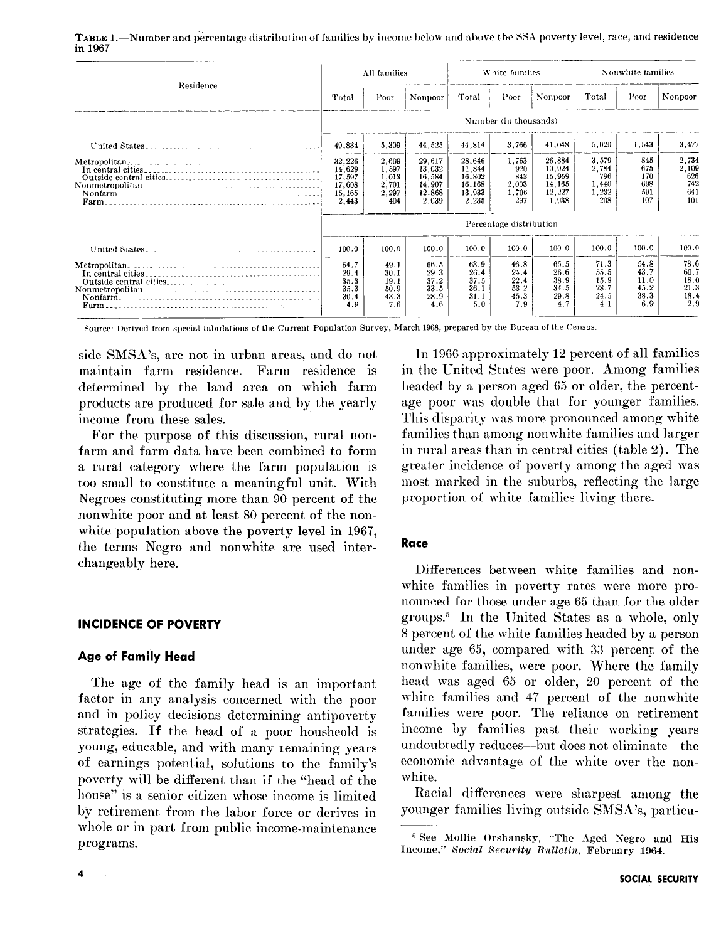|                                     | All families                                            |                                                  |                                                         | White families                                          |                                              |                                                         | Nonwhite families                              |                                             |                                             |
|-------------------------------------|---------------------------------------------------------|--------------------------------------------------|---------------------------------------------------------|---------------------------------------------------------|----------------------------------------------|---------------------------------------------------------|------------------------------------------------|---------------------------------------------|---------------------------------------------|
| Residence                           | Total                                                   | Poor                                             | <b>Nonpoor</b>                                          | Total                                                   | Poor                                         | Nonpoor                                                 | Total                                          | Poor                                        | Nonpoor                                     |
|                                     |                                                         |                                                  |                                                         |                                                         | Number (in thousands)                        |                                                         |                                                |                                             |                                             |
|                                     | 49,834                                                  | 5,309                                            | 44,525                                                  | 44,814                                                  | 3,766                                        | 41,048                                                  | 5,020                                          | 1,543                                       | 3,477                                       |
|                                     | 32,226<br>14.629<br>17,597<br>17,608<br>15.165<br>2,443 | 2,609<br>1,597<br>1,013<br>2,701<br>2,297<br>404 | 29,617<br>13.032<br>16,584<br>14.907<br>12.868<br>2,039 | 28,646<br>11.844<br>16.802<br>16,168<br>13.933<br>2,235 | 1.763<br>920<br>843<br>2,003<br>1.706<br>297 | 26.884<br>10.924<br>15,959<br>14,165<br>12,227<br>1.938 | 3.579<br>2,784<br>796<br>1,440<br>1,232<br>208 | 845<br>675<br>170<br>698<br>591<br>107      | 2,734<br>2,109<br>626<br>742<br>641<br>101  |
|                                     | Percentage distribution                                 |                                                  |                                                         |                                                         |                                              |                                                         |                                                |                                             |                                             |
|                                     | 100.0                                                   | 100.0                                            | 100.0                                                   | 100.0                                                   | 100.0                                        | 100.0                                                   | 100.0                                          | 100.0                                       | 100.0                                       |
| Metropolitan.<br>In central cities. | 64.7<br>29.4<br>35.3<br>35.3<br>30.4<br>4.9             | 49.1<br>30.1<br>19.1<br>50.9<br>43.3<br>7.6      | 66.5<br>29.3<br>37.2<br>33.5<br>28.9<br>4.6             | 63.9<br>26.4<br>37.5<br>36.1<br>31.1<br>5.0             | 46.8<br>24.4<br>22.4<br>53.2<br>45.3<br>7.9  | 65.5<br>26.6<br>38.9<br>34.5<br>29.8<br>4.7             | 71.3<br>55.5<br>15.9<br>28.7<br>24.5<br>4.1    | 54.8<br>43.7<br>11.0<br>45.2<br>38.3<br>6.9 | 78.6<br>60.7<br>18.0<br>21.3<br>18.4<br>2.9 |

TABLE 1.—Number and percentage distribution of families by income below and above the SSA poverty level, race, and residence in 1967

Source: Derived from special tabulations of the Current Population Survey, March 1968, prepared by the Bureau of the Census.

side SMSA's, are not in urban areas, and do not maintain farm residence. Farm residence is determined by the land area on which farm products are produced for sale and by the yearly income from these sales.

For the purpose of this discussion, rural nonfarm and farm data have been combined to form a rural category where the farm population is too small to constitute a meaningful unit. With Negroes constituting more than 90 percent of the nonwhite poor and at least 80 percent of the nonwhite population above the poverty level in 1967. the terms Negro and nonwhite are used interchangeably here.

# **INCIDENCE OF POVERTY**

## **Age of Family Head**

The age of the family head is an important factor in any analysis concerned with the poor and in policy decisions determining antipoverty strategies. If the head of a poor housheold is young, educable, and with many remaining years of earnings potential, solutions to the family's poverty will be different than if the "head of the house" is a senior citizen whose income is limited by retirement from the labor force or derives in whole or in part from public income-maintenance programs.

In 1966 approximately 12 percent of all families in the United States were poor. Among families headed by a person aged 65 or older, the percentage poor was double that for younger families. This disparity was more pronounced among white families than among nonwhite families and larger in rural areas than in central cities (table 2). The greater incidence of poverty among the aged was most marked in the suburbs, reflecting the large proportion of white families living there.

# Race

Differences between white families and nonwhite families in poverty rates were more pronounced for those under age 65 than for the older groups.<sup>5</sup> In the United States as a whole, only 8 percent of the white families headed by a person under age 65, compared with 33 percent of the nonwhite families, were poor. Where the family head was aged 65 or older, 20 percent of the white families and 47 percent of the nonwhite families were poor. The reliance on retirement income by families past their working years undoubtedly reduces-but does not eliminate-the economic advantage of the white over the nonwhite.

Racial differences were sharpest among the younger families living outside SMSA's, particu-

<sup>&</sup>lt;sup>5</sup> See Mollie Orshansky, "The Aged Negro and His Income," Social Security Bulletin, February 1964.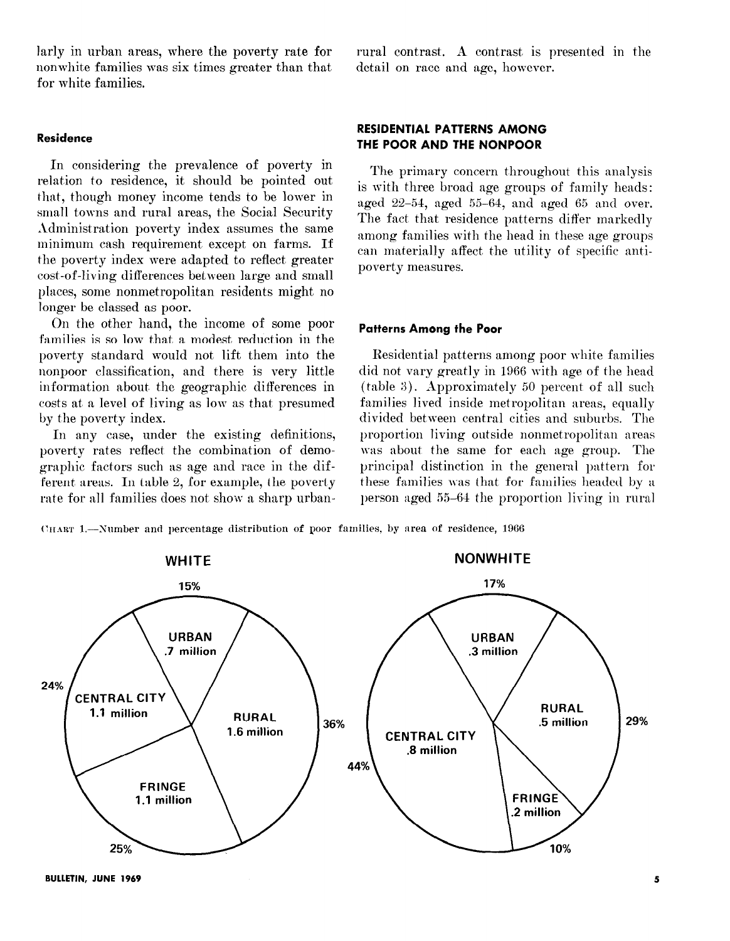larly in urban areas, where the poverty rate for nonwhite families was six times greater than that for white families.

## Residence

In considering the prevalence of poverty in relation to residence, it should be pointed out that, though money income tends to be lower in small towns and rural areas, the Social Security Administration poverty index assumes the same minimum cash requirement except on farms. If the poverty index were adapted to reflect greater cost-of-living differences between large and small places, some nonmetropolitan residents might no longer be classed as poor.

On the other hand, the income of some poor families is so low that a modest reduction in the poverty standard would not lift them into the nonpoor classification, and there is very little information about, the geographic differences in costs at, a level of living as low as that presumed by the poverty index.

In any case, under the existing definitions, poverty rates reflect the combination of demographic factors such as age and race in the different areas. In table 2, for example, the poverty rate for all families does not show a sharp urbanrural contrast. A contrast is presented in the detail on race and age, however.

# RESIDENTIAL PATTERNS AMONG THE POOR AND THE NONPOOR

The primary concern throughout this analysis is with three broad age groups of family heads: aged  $22-54$ , aged  $55-64$ , and aged  $65$  and over. The fact that residence patterns differ markedly among families with the head in these age groups can materially affect, the utility of specific antipoverty measures.

## Patterns Among the Poor

Residential patterns among poor white families did not vary greatly in 1966 with age of the head (table 3). Approximately 50 percent of all such families lived inside metropolitan areas, equally divided between central cities and suburbs. The proportion living outside nonmetropolitan areas was about the same for each age group. The principal distinction in the general pattern for these families was that for families headed by a person aged 55-64 the proportion living in rural

(:IIART l.-Xnmber and percentage distribution of poor families, by area of residence, 1906



BULLETIN, JUNE 1969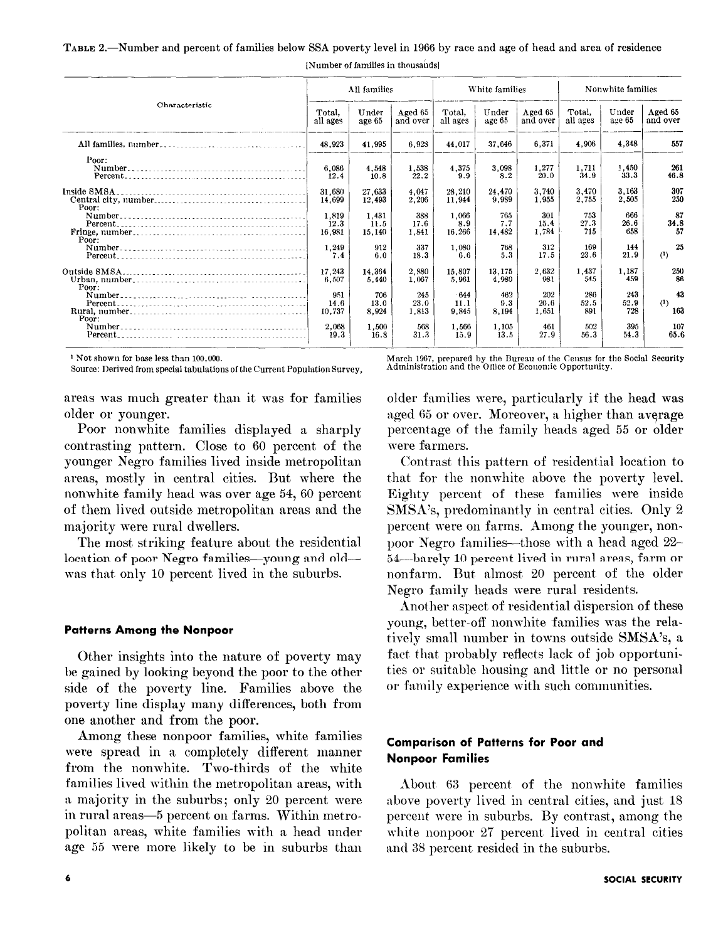TABLE 2.—Number and percent of families below SSA poverty level in 1966 by race and age of head and area of residence

| Characteristic<br><u> 1980 - John Harry Harry Harry Harry Harry Harry Harry Harry Harry Harry Harry Harry Harry Harry Harry Harry Harry Harry Harry Harry Harry Harry Harry Harry Harry Harry Harry Harry Harry Harry Harry Harry Harry Harry Harr</u> | All families            |                         |                      | White families          |                      |                      | Nonwhite families  |                    |                     |
|--------------------------------------------------------------------------------------------------------------------------------------------------------------------------------------------------------------------------------------------------------|-------------------------|-------------------------|----------------------|-------------------------|----------------------|----------------------|--------------------|--------------------|---------------------|
|                                                                                                                                                                                                                                                        | Total.<br>all ages      | Under<br>age 65         | Aged 65<br>and over  | Total.<br>all ages      | Under<br>age 65      | Aged 65<br>and over  | Total.<br>all ages | Under<br>age 65    | Aged 65<br>and over |
|                                                                                                                                                                                                                                                        | 48.923                  | 41.995                  | 6,923                | 44,017                  | 37,646               | 6.371                | 4,906              | 4,348              | 557                 |
| Poor:                                                                                                                                                                                                                                                  | 6,086<br>12.4           | 4,548<br>10.8           | 1.538<br>22.2        | 4,375<br>9.9            | 3,098<br>8.2         | 1.277<br>20.0        | 1,711<br>34.9      | 1,450<br>33.3      | 261<br>46.8         |
| Inside SMSA.<br>Poor:                                                                                                                                                                                                                                  | 31.680<br>14,699        | 27.633<br>12,493        | 4.047<br>2,206       | 28,210<br>11,944        | 24.470<br>9,939      | 3,740<br>1.955       | 3,470<br>2,755     | 3,163<br>2,505     | 307<br>250          |
|                                                                                                                                                                                                                                                        | 1.819<br>12.3<br>16,981 | 1.431<br>11.5<br>15,140 | 388<br>17.6<br>1.841 | 1.066<br>8.9<br>16,266  | 765<br>7.7<br>14,482 | 301<br>15.4<br>1,784 | 753<br>27.3<br>715 | 666<br>26.6<br>658 | 87<br>34.8<br>57    |
| Poor:                                                                                                                                                                                                                                                  | 1,249<br>7,4            | 912<br>6.0              | 337<br>18.3          | 1,080<br>6.6            | 768<br>5.3           | 312<br>17.5          | 169<br>23.6        | 144<br>21.9        | 25<br>$^{(1)}$      |
|                                                                                                                                                                                                                                                        | 17 243<br>6,507         | 14.364<br>5.440         | 2,880<br>1.067       | 15.807<br>5.961         | 13.175<br>4,980      | 2,632<br>981         | 1,437<br>545       | 1.187<br>459       | 250<br>86           |
| Poor:                                                                                                                                                                                                                                                  | 951<br>14.6<br>10,737   | 706<br>13.0<br>8,924    | 245<br>23.0<br>1.813 | $-644$<br>11.1<br>9,845 | 462<br>9.3<br>8,194  | 202<br>20.6<br>1,651 | 286<br>52.5<br>891 | 243<br>52.9<br>728 | 43<br>(1)<br>163    |
| Poor:                                                                                                                                                                                                                                                  | 2,068<br>19.3           | 1.500<br>16.8           | 568<br>31.3          | 1.566<br>15.9           | 1,105<br>13.5        | 461<br>27.9          | 502<br>56.3        | 395<br>54.3        | 107<br>65.6         |

[Number of families in thousands]

<sup>1</sup> Not shown for base less than 100,000.

Source: Derived from special tabulations of the Current Population Survey,

areas was much greater than it was for families older or younger.

Poor nonwhite families displayed a sharply contrasting pattern. Close to 60 percent of the younger Negro families lived inside metropolitan areas, mostly in central cities. But where the nonwhite family head was over age 54, 60 percent of them lived outside metropolitan areas and the majority were rural dwellers.

The most striking feature about the residential location of poor Negro families-young and oldwas that only 10 percent lived in the suburbs.

## **Patterns Among the Nonpoor**

Other insights into the nature of poverty may be gained by looking beyond the poor to the other side of the poverty line. Families above the poverty line display many differences, both from one another and from the poor.

Among these nonpoor families, white families were spread in a completely different manner from the nonwhite. Two-thirds of the white families lived within the metropolitan areas, with a majority in the suburbs; only 20 percent were in rural areas-5 percent on farms. Within metropolitan areas, white families with a head under age 55 were more likely to be in suburbs than March 1967, prepared by the Bureau of the Census for the Social Security<br>Administration and the Office of Economic Opportunity.

older families were, particularly if the head was aged 65 or over. Moreover, a higher than average percentage of the family heads aged 55 or older were farmers.

Contrast this pattern of residential location to that for the nonwhite above the poverty level. Eighty percent of these families were inside SMSA's, predominantly in central cities. Only 2 percent were on farms. Among the younger, nonpoor Negro families—those with a head aged 22-54-barely 10 percent lived in rural areas, farm or nonfarm. But almost 20 percent of the older Negro family heads were rural residents.

Another aspect of residential dispersion of these young, better-off nonwhite families was the relatively small number in towns outside SMSA's, a fact that probably reflects lack of job opportunities or suitable housing and little or no personal or family experience with such communities.

# **Comparison of Patterns for Poor and Nonpoor Families**

About 63 percent of the nonwhite families above poverty lived in central cities, and just 18 percent were in suburbs. By contrast, among the white nonpoor 27 percent lived in central cities and 38 percent resided in the suburbs.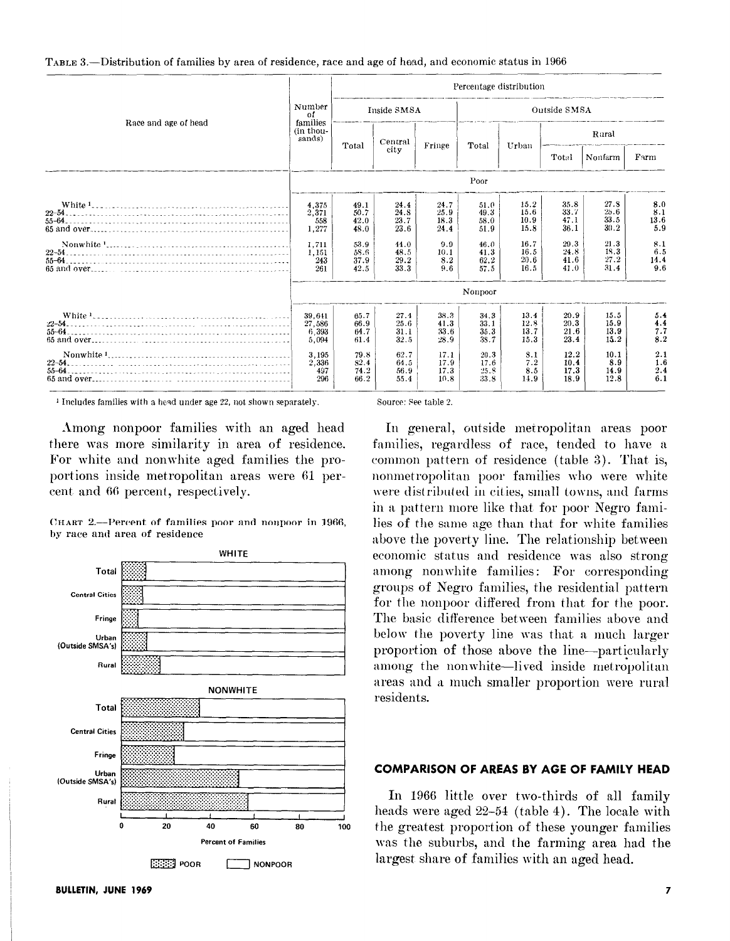| TABLE 3.—Distribution of families by area of residence, race and age of head, and economic status in 1966 |
|-----------------------------------------------------------------------------------------------------------|
|-----------------------------------------------------------------------------------------------------------|

|                      |                                    |                              |                              |                              |                              | Percentage distribution      |                              |                              |                           |
|----------------------|------------------------------------|------------------------------|------------------------------|------------------------------|------------------------------|------------------------------|------------------------------|------------------------------|---------------------------|
|                      | Number<br>of                       | Inside SMSA                  |                              |                              | Outside SMSA                 |                              |                              |                              |                           |
| Race and age of head | families<br>(in thou-<br>sands)    |                              | Central                      |                              |                              |                              | Rural                        |                              |                           |
|                      |                                    | Total                        | city                         | Fringe                       | Total                        | Urban                        | Total                        | Nonfarm                      | Farm                      |
|                      | Poor                               |                              |                              |                              |                              |                              |                              |                              |                           |
| $55 - 64$            | 4,375<br>2,371<br>558<br>1,277     | 49.1<br>50.7<br>42.0<br>48.0 | 24.4<br>24.8<br>23.7<br>23.6 | 24.7<br>25.9<br>18.3<br>24.4 | 51.0<br>49.3<br>58.0<br>51.9 | 15.2<br>15.6<br>10.9<br>15.8 | 35.8<br>33.7<br>47.1<br>36.1 | 27.8<br>25.6<br>33.5<br>30.2 | 8.0<br>8.1<br>13.6<br>5.9 |
| $65$ and over        | 1.711<br>1,151<br>243<br>261       | 53.9<br>58.6<br>37.9<br>42.5 | 44.0<br>48.5<br>29.2<br>33.3 | 9.9<br>10.1<br>8.2<br>9.6    | 46.0<br>41.3<br>62.2<br>57.5 | 16.7<br>16.5<br>20.6<br>16.5 | 29.3<br>24.8<br>41.6<br>41.0 | 21.3<br>18.3<br>27.2<br>31.4 | 8.1<br>6.5<br>14.4<br>9.6 |
|                      |                                    |                              |                              |                              | Nonpoor                      |                              |                              |                              |                           |
| $55 - 64$            | 39.641<br>27.586<br>6.393<br>5,094 | 65.7<br>66.9<br>64.7<br>61.4 | 27.4<br>25.6<br>31.1<br>32.5 | 38.3<br>41.3<br>33.6<br>28.9 | 34.3<br>33.1<br>35.3<br>38.7 | 13.4<br>12.8<br>13.7<br>15.3 | 20.9<br>20.3<br>21.6<br>23.4 | 15.5<br>15.9<br>13.9<br>15.2 | 5.4<br>4.4<br>7.7<br>8.2  |
|                      | 3.195<br>2,336<br>497<br>296       | 79.8<br>82.4<br>74.2<br>66.2 | 62.7<br>64.5<br>56.9<br>55.4 | 17.1<br>17.9<br>17.3<br>10.8 | 20.3<br>17.6<br>25.8<br>33.8 | 3.1<br>7.2<br>8.5<br>11.9    | 12.2<br>10.4<br>17.3<br>18.9 | 10.1<br>8.9<br>14.9<br>12.8  | 2.1<br>1.6<br>2.4<br>6.1  |

 $<sup>1</sup>$  Includes families with a head under age 22, not shown separately.</sup>

Among nonpoor families with an aged head there was more similarity in area of residence. For white and nonwhite aged families the proportions inside metropolitan areas were 61 percent and 66 percent, respectively.

CHART 2.—Percent of families poor and nonpoor in 1966, by race and area of residence



Source: See table 2.

In general, outside metropolitan areas poor families, regardless of race, tended to have a common pattern of residence (table 3). That is, nonmetropolitan poor families who were white were distributed in cities, small towns, and farms in a pattern more like that for poor Negro families of the same age than that for white families above the poverty line. The relationship between economic status and residence was also strong among nonwhite families: For corresponding groups of Negro families, the residential pattern for the nonpoor differed from that for the poor. The basic diflerence between families above and below the poverty line was that a much larger proportion of those above the line-particularly among the nonwhite-lived inside metropolitan areas and a much smaller proportion were rural residents.

## COMPARISON OF AREAS BY AGE OF FAMILY HEAD

In 1966 little over two-thirds of all family heads were aged 22-54 (table 4). The locale with the greatest proportion of these younger families was the suburbs, and the farming area had the largest share of families with an aged head.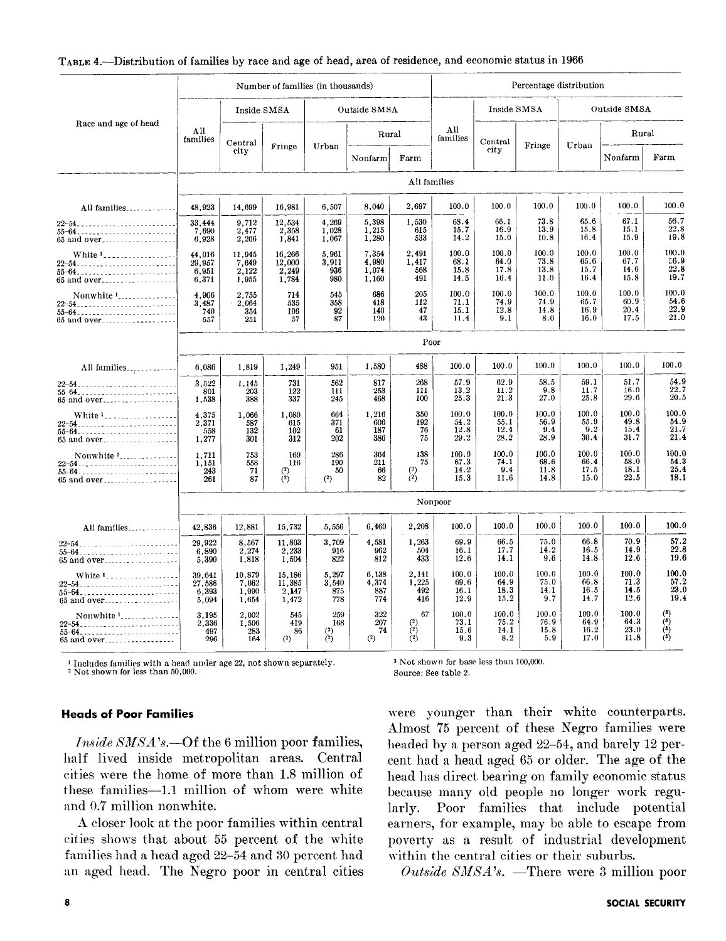|                                                                                       | Number of families (in thousands)  |                                   |                                    |                                  |                                  | Percentage distribution                                |                               |                               |                               |                               |                               |                                            |
|---------------------------------------------------------------------------------------|------------------------------------|-----------------------------------|------------------------------------|----------------------------------|----------------------------------|--------------------------------------------------------|-------------------------------|-------------------------------|-------------------------------|-------------------------------|-------------------------------|--------------------------------------------|
|                                                                                       |                                    | Inside SMSA                       |                                    | Outside SMSA                     |                                  |                                                        | Inside SMSA                   |                               |                               | Outside SMSA                  |                               |                                            |
| Race and age of head                                                                  | All<br>families                    | Central                           |                                    |                                  | Rural                            |                                                        | All<br>families               | Central                       |                               |                               | Rural                         |                                            |
|                                                                                       |                                    | eity                              | Fringe                             | Urban<br>city<br>Farm<br>Nonfarm | Fringe                           | Urban                                                  | Nonfarm                       | Farm                          |                               |                               |                               |                                            |
|                                                                                       |                                    |                                   |                                    |                                  |                                  | All families                                           |                               |                               |                               |                               |                               |                                            |
| All families                                                                          | 48.923                             | 14,699                            | 16,981                             | 6,507                            | 8.040                            | 2,697                                                  | 100.0                         | 100.0                         | 100.0                         | 100.0                         | 100.0                         | 100.0                                      |
| 65 and over                                                                           | 33,444<br>7,690<br>6,928           | 9,712<br>2,477<br>2,206           | 12,534<br>$\frac{2,358}{1,841}$    | 4,269<br>1,028<br>1,067          | 5,398<br>1.215<br>1,280          | 1,530<br>615<br>533                                    | 68.4<br>15.7<br>14.2          | 66.1<br>16.9<br>15.0          | 73.8<br>13.9<br>10.8          | 65.6<br>15.8<br>16.4          | 67.1<br>15.1<br>15.9          | 56.7<br>22.8<br>19.8                       |
| White <sup>1</sup> ------------------<br>$22 - 54$<br>65 and over                     | 44,016<br>29.957<br>6,951<br>6,371 | 11,945<br>7,649<br>2,122<br>1,955 | 16.266<br>12,000<br>2,249<br>1,784 | 5,961<br>3,911<br>936<br>980     | 7,354<br>4 980<br>1,074<br>1,160 | 2,491<br>1,417<br>568<br>491                           | 100.0<br>68.1<br>15.8<br>14.5 | 100.0<br>64.0<br>17.8<br>16.4 | 100.0<br>73.8<br>13.8<br>11.0 | 100.0<br>65.6<br>15.7<br>16.4 | 100.0<br>67.7<br>14.6<br>15.8 | 100.0<br>56.9<br>22.8<br>19.7              |
| Nonwhite 1<br>$55 - 64$<br>65 and over                                                | 4.906<br>3,487<br>740<br>557       | 2,755<br>2,064<br>354<br>251      | 714<br>535<br>106<br>57            | 545<br>358<br>92<br>87           | 686<br>418<br>140<br>120         | 205<br>112<br>47<br>43                                 | 100.0<br>71.1<br>15.1<br>11.4 | 100.0<br>74.9<br>12.8<br>9.1  | 100.0<br>74.9<br>14.8<br>8.0  | 100.0<br>65.7<br>16.9<br>16.0 | 100.0<br>60.9<br>20.4<br>17.5 | 100.0<br>54.6<br>22.9<br>21.0              |
|                                                                                       |                                    |                                   |                                    |                                  |                                  | Poor                                                   |                               |                               |                               |                               |                               |                                            |
| All families                                                                          | 6,086                              | 1,819                             | 1,249                              | 951                              | 1,580                            | 488                                                    | 100.0                         | 100.0                         | 100.0                         | 100.0                         | 100.0                         | 100.0                                      |
| $65$ and over                                                                         | 3,522<br>801<br>1,538              | 1,145<br>203<br>388               | 731<br>122<br>337                  | 562<br>111<br>245                | 817<br>253<br>468                | 268<br>111<br>100                                      | 57.9<br>13.2<br>25.3          | 62.9<br>11.2<br>21.3          | 58.5<br>9.8<br>27.0           | 59.1<br>11.7<br>25.8          | 51.7<br>16.0<br>29.6          | 54.9<br>22.7<br>20.5                       |
| White <sup>1</sup> ------------------<br>65 and over                                  | 4,375<br>2,371<br>558<br>1,277     | 1,066<br>587<br>132<br>301        | 1,080<br>615<br>102<br>312         | 664<br>371<br>61<br>202          | 1,216<br>606<br>187<br>386       | 350<br>192<br>76<br>75                                 | 100.0<br>54.2<br>12.8<br>29.2 | 100.0<br>55.1<br>12.4<br>28.2 | 100.0<br>56.9<br>9.4<br>28.9  | 100.0<br>55.9<br>9.2<br>30.4  | 100.0<br>49.8<br>15.4<br>31.7 | 100.0<br>54.9<br>21.7<br>21.4              |
| Nonwhite $22-54$<br>65 and over                                                       | 1.711<br>1.151<br>243<br>261       | 753<br>558<br>71<br>87            | 169<br>116<br>$^{(2)}$<br>(2)      | 286<br>190<br>50<br>(2)          | 364<br>211<br>66<br>82           | 138<br>75<br>$^{\left( 2\right) }$<br>$^{(2)}$         | 100.0<br>67.3<br>14.2<br>15.3 | 100.0<br>74.1<br>9.4<br>11.6  | 100.0<br>68.6<br>11.8<br>14.8 | 100.0<br>66.4<br>17.5<br>15.0 | 100.0<br>58.0<br>18.1<br>22.5 | 100.0<br>54.3<br>25.4<br>18.1              |
|                                                                                       |                                    |                                   |                                    |                                  |                                  |                                                        | Nonpoor                       |                               |                               |                               |                               |                                            |
| All families                                                                          | 42,836                             | 12,881                            | 15,732                             | 5,556                            | 6,460                            | 2,208                                                  | 100.0                         | 100.0                         | 100.0                         | 100.0                         | 100.0                         | 100.0                                      |
| 65 and over                                                                           | 29,922<br>6,890<br>5,390           | 8,567<br>2,274<br>1,818           | 11,803<br>2,233<br>1,504           | 3,709<br>916<br>822              | 4,581<br>962<br>812              | 1,263<br>504<br>433                                    | 69.9<br>16.1<br>12.6          | 66.5<br>17.7<br>14.1          | 75.0<br>14.2<br>9.6           | 66.8<br>16.5<br>14.8          | 70.9<br>14.9<br>12.6          | 57.2<br>22.8<br>19.6                       |
| 65 and over                                                                           | 39.641<br>27,586<br>6,393<br>5,094 | 10.879<br>7,062<br>1,990<br>1,654 | 15.186<br>11,385<br>2,147<br>1,472 | 5,297<br>3,540<br>875<br>778     | 6,138<br>4,374<br>887<br>774     | 2,141<br>1,225<br>492<br>416                           | 100.0<br>69.6<br>16.1<br>12.9 | 100.0<br>64.9<br>18.3<br>15.2 | 100.0<br>75.0<br>14.1<br>9.7  | 100.0<br>66.8<br>16.5<br>14.7 | 100.0<br>71.3<br>14.5<br>12.6 | 100.0<br>57.2<br>23.0<br>19.4              |
| Nonwhite '<br>22-54 <sub>-----------------------</sub> --<br>$55 - 64$<br>65 and over | 3.195<br>2,336<br>497<br>296       | 2.002<br>1,506<br>283<br>164      | 545<br>419<br>86<br>(2)            | 259<br>168<br>$\binom{2}{2}$     | 322<br>207<br>74<br>(2)          | 67<br>$\begin{pmatrix} 2 \\ 2 \\ 2 \\ 2 \end{pmatrix}$ | 100.0<br>73.1<br>15.6<br>9.3  | 100.0<br>75.2<br>14.1<br>8.2  | 100.0<br>76.9<br>15.8<br>5.9  | 100.0<br>64.9<br>16.2<br>17.0 | 100.0<br>64 3<br>23.0<br>11.8 | $(3)$<br>$\widetilde{r}$<br>$\mathfrak{a}$ |

#### TABLE 4.—Distribution of families by race and age of head, area of residence, and economic status in 1966

 $^1$  Includes families with a head under age 22, not shown separately.  $^2$  Not shown for less than 50,000.

## **Heads of Poor Families**

Inside SMSA's.--Of the 6 million poor families, half lived inside metropolitan areas. Central cities were the home of more than 1.8 million of these families-1.1 million of whom were white and 0.7 million nonwhite.

A closer look at the poor families within central cities shows that about 55 percent of the white families had a head aged 22-54 and 30 percent had an aged head. The Negro poor in central cities <sup>3</sup> Not shown for base less than 100,000.

Source: See table 2.

were younger than their white counterparts. Almost 75 percent of these Negro families were headed by a person aged 22-54, and barely 12 percent had a head aged 65 or older. The age of the head has direct bearing on family economic status because many old people no longer work regularly. Poor families that include potential earners, for example, may be able to escape from poverty as a result of industrial development within the central cities or their suburbs.

Outside SMSA's. -There were 3 million poor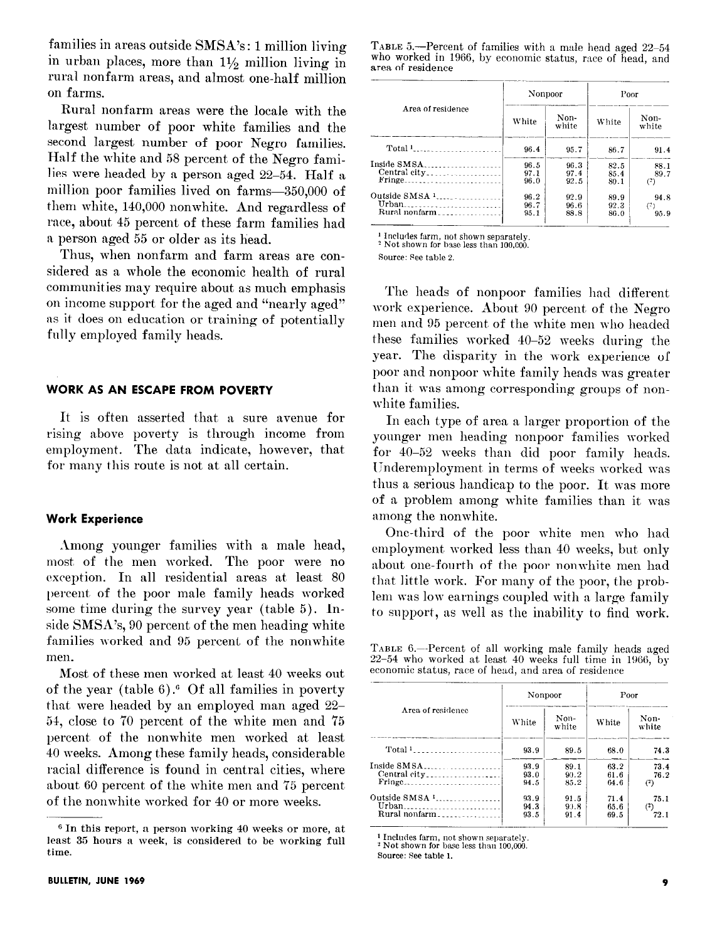families in areas outside SMSA's : 1 million living in urban places, more than  $1\frac{1}{2}$  million living in rural nonfarm areas, and almost one-half million on farms.

Rural nonfarm areas were the locale with the largest number of poor white families and the second largest number of poor Negro families. Half the white and 58 percent of the Negro families were headed by a person aged 22-54. Half a million poor families lived on farms-350,000 of them white, 140,000 nonwhite. And regardless of race, about, 45 percent of these farm families had a person aged 55 or older as its head.

Thus, when nonfarm and farm areas are considered as a whole the economic health of rural communities may require about as much emphasis on income support for the aged and "nearly aged" as it does on education or training of potentially fully employed family heads.

## WORK AS AN ESCAPE FROM POVERTY

It is often asserted that a sure avenue for rising above poverty is through income from employment. The data indicate, however, that for many this route is not at all certain.

#### Work Experience

Among younger families with a male head, most, of the men worked. The poor were no exception. In all residential areas at least 80 l)ercent, of the poor male family heads worked some time during the survey year (table 5). Inside SMSA's, 90 percent of the men heading white families worked and 95 percent of the nonwhite men.

Most of these men worked at least 40 weeks out of the year (table  $6$ ).<sup>6</sup> Of all families in poverty that were headed by an employed man aged 22-54, close to '70 percent of the white men and 75 percent, of the nonwhite men worked at least 40 weeks. Among these family heads, considerable racial difference is found in central cities, where about 60 percent of the white men and '75 percent of the nonwhite worked for 40 or more weeks.

TABLE S.-Percent of families with a male head aged 22-54 who worked in 1966, by economic status, race of head, and area of residence

| Area of residence                                   | Nonpoor              |                      | Poor                 |                          |  |
|-----------------------------------------------------|----------------------|----------------------|----------------------|--------------------------|--|
|                                                     | White                | Non-<br>white        | White                | Non-<br>white            |  |
| Total 1                                             | 96.4                 | 95.7                 | 86.7                 | 91.4                     |  |
| Inside SMSA<br><b>Fringe</b>                        | 96.5<br>97.1<br>96.0 | 96.3<br>97.4<br>92.5 | 82.5<br>85.4<br>80.1 | 88.1<br>89.7<br>(?)      |  |
| Outside SMSA <sup>1</sup><br>Urban<br>Rural nonfarm | 96.2<br>96.7<br>95.1 | 92.9<br>96.6<br>88.8 | 89.9<br>92.3<br>86.0 | 94.8<br>$(^{2})$<br>95.9 |  |

<sup>1</sup> Includes farm, not shown separately. <sup>2</sup> Not shown for base less than 100,000.

Source: See table 2.

The heads of nonpoor families had different work experience. About 90 percent of the Negro men and 95 percent of the white men who headed these families worked 40-52 weeks during the year. The disparity in the work experience of poor and nonpoor white family heads was greater than it was among corresponding groups of nonwhite families.

In each type of area a larger proportion of the younger men heading nonpoor families worked for 40-52 weeks than did poor family heads. Underemployment in terms of weeks worked was thus a serious handicap to the poor. It was more of a problem among white families than it was among the nonwhite.

One-third of the poor white men who had employment worked less than 40 weeks, but only about one-fourth of the poor nonwhite men had that little work. For many of the poor, the problem was low earnings coupled with a large family to support, as well as the inability to find work.

TABLE 6.—Percent of all working male family heads aged  $22-54$  who worked at least 40 weeks full time in 1966, by economic status, race of head, and area of residence

| Area of residence                                   | Nonpoor              |                       | Poor                 |                          |  |
|-----------------------------------------------------|----------------------|-----------------------|----------------------|--------------------------|--|
|                                                     | White                | Non-<br>white         | White                | Non-<br>white            |  |
| Total 1                                             | 93.9                 | 89.5                  | 68.0                 | 74.3                     |  |
| Inside SMSA<br>Central city                         | 93.9<br>93.0<br>94.5 | 89.1<br>90.2<br>85.2  | 63.2<br>61.6<br>64.6 | 73.4<br>76.2<br>$^{(2)}$ |  |
| Outside SMSA <sup>1</sup><br>Urban<br>Rural nonfarm | 93.9<br>94.3<br>93.5 | 91.5<br>9.1.8<br>91.4 | 71.4<br>65.6<br>69.5 | 75.1<br>$^{(2)}$<br>72.1 |  |

<sup>1</sup> Includes farm, not shown separately.

 $2$  Not shown for base less than 100,000.

Source: See table 1.

<sup>6</sup> In this report, a person working 40 weeks or more, at least 35 hours a week, is considered to be working full time.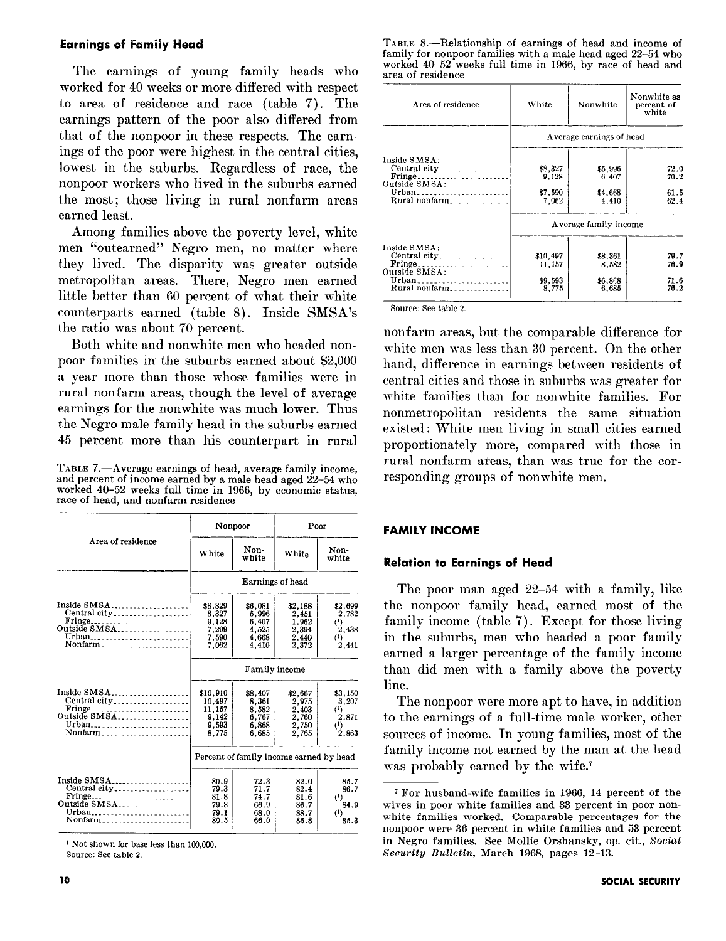## Earnings of Family Head

The earnings of young family heads who worked for 40 weeks or more differed with respect to area of residence and race (table 7). The earnings pattern of the poor also differed from that of the nonpoor in these respects. The earnings of the poor were highest in the central cities, lowest in the suburbs. Regardless of race, the nonpoor workers who lived in the suburbs earned the most; those living in rural nonfarm areas earned least.

Among families above the poverty level, white men "outearned" Negro men, no matter where they lived. The disparity was greater outside metropolitan areas. There, Negro men earned little better than 60 percent of what their white counterparts earned (table 8). Inside SMSA's the ratio was about '70 percent.

Both white and nonwhite men who headed nonpoor families in the suburbs earned about \$2,000 a year more than those whose families were in rural nonfarm areas, though the level of average earnings for the nonwhite was much lower. Thus the Negro male family head in the suburbs earned 45 percent, more than his counterpart in rural

TABLE 7.-Average earnings of head, average family income, and percent of income earned by a male head aged 22-54 who worked 40-52 weeks full time in 1966, by economic status, race of head, and nonfarm residence

|                                                                                                                   |                                                         | Nonpoor                                                | Poor                                                                |                                                            |  |  |  |  |
|-------------------------------------------------------------------------------------------------------------------|---------------------------------------------------------|--------------------------------------------------------|---------------------------------------------------------------------|------------------------------------------------------------|--|--|--|--|
| Area of residence                                                                                                 | White                                                   | Non-<br>white                                          | White                                                               | Non-<br>white                                              |  |  |  |  |
|                                                                                                                   |                                                         | Earnings of head                                       |                                                                     |                                                            |  |  |  |  |
| Inside SMSA<br>Central city<br>Fringe<br>Outside SMSA<br>Urban <sub>-----</sub> ----------------------<br>Nonfarm | \$8,829<br>8,327<br>9,128<br>7,299<br>7.590<br>7.062    | \$6,081<br>5,996<br>6.407<br>4 5 2 5<br>4.668<br>4 410 | \$2.188<br>2,451<br>1.962<br>2.394<br>$\frac{2}{2}$ , 440<br>2, 372 | \$2,699<br>2,782<br>$^{(1)}$<br>2.438<br>$^{(1)}$<br>2.441 |  |  |  |  |
|                                                                                                                   | Family income                                           |                                                        |                                                                     |                                                            |  |  |  |  |
| Inside SMSA<br>Central city<br>Urban<br>Nonfarm                                                                   | \$10,910<br>10.497<br>11.157<br>9,142<br>9.593<br>8.775 | \$8,407<br>8.361<br>8.582<br>6,767<br>6.868<br>6.685   | \$2,667<br>2.975<br>2.403<br>2,760<br>2,750<br>2.765                | \$3,150<br>3.207<br>$^{(1)}$<br>2.871<br>$^{(1)}$<br>2,863 |  |  |  |  |
|                                                                                                                   |                                                         | Percent of family income earned by head                |                                                                     |                                                            |  |  |  |  |
| Inside SMSA<br>Central city<br>Urban <sub>------</sub> ---------------------<br>Nonfarm                           | 80.9<br>79.3<br>81.8<br>79.8<br>79.1<br>89.5            | 72.3<br>71.7<br>74.7<br>66.9<br>68.0<br>66.0           | 82.0<br>82.4<br>81.6<br>86.7<br>88.7<br>85.8                        | 85.7<br>86.7<br>$^{(1)}$<br>84.9<br>$^{(1)}$<br>85.3       |  |  |  |  |

<sup>1</sup> Not shown for base less than 100,000.

Source: See table 2.

TABLE 8.-Relationship of earnings of head and income of family for nonpoor families with a male head aged 22-54 who worked 40-52 weeks full time in 1966, by race of head and area of residence

| Area of residence                                                        | <b>White</b>                           | Nonwhite                             | Nonwhite as<br>percent of<br>white |  |  |  |  |  |
|--------------------------------------------------------------------------|----------------------------------------|--------------------------------------|------------------------------------|--|--|--|--|--|
|                                                                          |                                        | Average earnings of head             |                                    |  |  |  |  |  |
| Inside SMSA:<br>Central city<br>Outside SMSA :<br>Urban<br>Rural nonfarm | \$8,327<br>9.128<br>\$7,500<br>7.062   | \$5,996<br>6.407<br>\$4,668<br>4,410 | 72.0<br>70.2<br>61.5<br>62.4       |  |  |  |  |  |
|                                                                          | Average family income                  |                                      |                                    |  |  |  |  |  |
| Inside SMSA:<br>Central city<br>Outside SMSA:<br>Urban<br>Rural nonfarm  | \$10,497<br>11.157<br>\$9.593<br>8,775 | \$8.361<br>8.582<br>\$6,868<br>6.685 | 79.7<br>76.9<br>71.6<br>76.2       |  |  |  |  |  |

Source: See table 2.

nonfarm areas, but the comparable difference for white men was less than 30 percent. On the other hand, difference in earnings between residents of central cities and those in suburbs was greater for white families than for nonwhite families. For nonmetropolitan residents the same situation existed: White men living in small cities earned proportionately more, compared with those in rural nonfarm areas, than was true for the corresponding groups of nonwhite men.

#### FAMILY INCOME

#### Relation to Earnings of Head

The poor man aged 22-54 with a family, like the nonpoor family head, earned most of the family income (table 7). Except for those living in the suburbs, men who headed a poor family earned a larger percentage of the family income than did men with a family above the poverty line.

The nonpoor were more apt to have, in addition to the earnings of a full-time male worker, other sources of income. In young families, most of the family income not earned by the man at the head was probably earned by the wife.'

<sup>7</sup> For husband-wife families in 1966, 14 percent of the wives in poor white families and 33 percent in poor nonwhite families worked. Comparable percentages for the nonpoor were 36 percent in white families and 53 percent in Negro families. See Mollie Orshansky, op. cit., Social Security Bulletin, March 1968, pages 12-13.